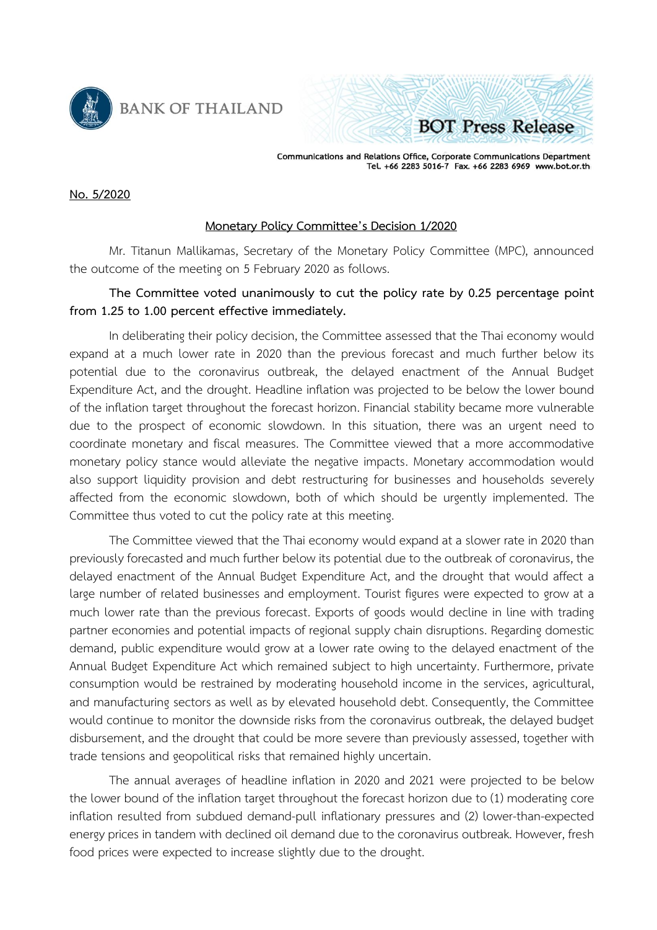

**BANK OF THAILAND** 



Communications and Relations Office, Corporate Communications Department<br>Tel. +66 2283 5016-7 Fax. +66 2283 6969 www.bot.or.th

## **No. 5/2020**

## **Monetary Policy Committee's Decision 1/2020**

Mr. Titanun Mallikamas, Secretary of the Monetary Policy Committee (MPC), announced the outcome of the meeting on 5 February 2020 as follows.

## **The Committee voted unanimously to cut the policy rate by 0.25 percentage point from 1.25 to 1.00 percent effective immediately.**

In deliberating their policy decision, the Committee assessed that the Thai economy would expand at a much lower rate in 2020 than the previous forecast and much further below its potential due to the coronavirus outbreak, the delayed enactment of the Annual Budget Expenditure Act, and the drought. Headline inflation was projected to be below the lower bound of the inflation target throughout the forecast horizon. Financial stability became more vulnerable due to the prospect of economic slowdown. In this situation, there was an urgent need to coordinate monetary and fiscal measures. The Committee viewed that a more accommodative monetary policy stance would alleviate the negative impacts. Monetary accommodation would also support liquidity provision and debt restructuring for businesses and households severely affected from the economic slowdown, both of which should be urgently implemented. The Committee thus voted to cut the policy rate at this meeting.

The Committee viewed that the Thai economy would expand at a slower rate in 2020 than previously forecasted and much further below its potential due to the outbreak of coronavirus, the delayed enactment of the Annual Budget Expenditure Act, and the drought that would affect a large number of related businesses and employment. Tourist figures were expected to grow at a much lower rate than the previous forecast. Exports of goods would decline in line with trading partner economies and potential impacts of regional supply chain disruptions. Regarding domestic demand, public expenditure would grow at a lower rate owing to the delayed enactment of the Annual Budget Expenditure Act which remained subject to high uncertainty. Furthermore, private consumption would be restrained by moderating household income in the services, agricultural, and manufacturing sectors as well as by elevated household debt. Consequently, the Committee would continue to monitor the downside risks from the coronavirus outbreak, the delayed budget disbursement, and the drought that could be more severe than previously assessed, together with trade tensions and geopolitical risks that remained highly uncertain.

The annual averages of headline inflation in 2020 and 2021 were projected to be below the lower bound of the inflation target throughout the forecast horizon due to (1) moderating core inflation resulted from subdued demand-pull inflationary pressures and (2) lower-than-expected energy prices in tandem with declined oil demand due to the coronavirus outbreak. However, fresh food prices were expected to increase slightly due to the drought.